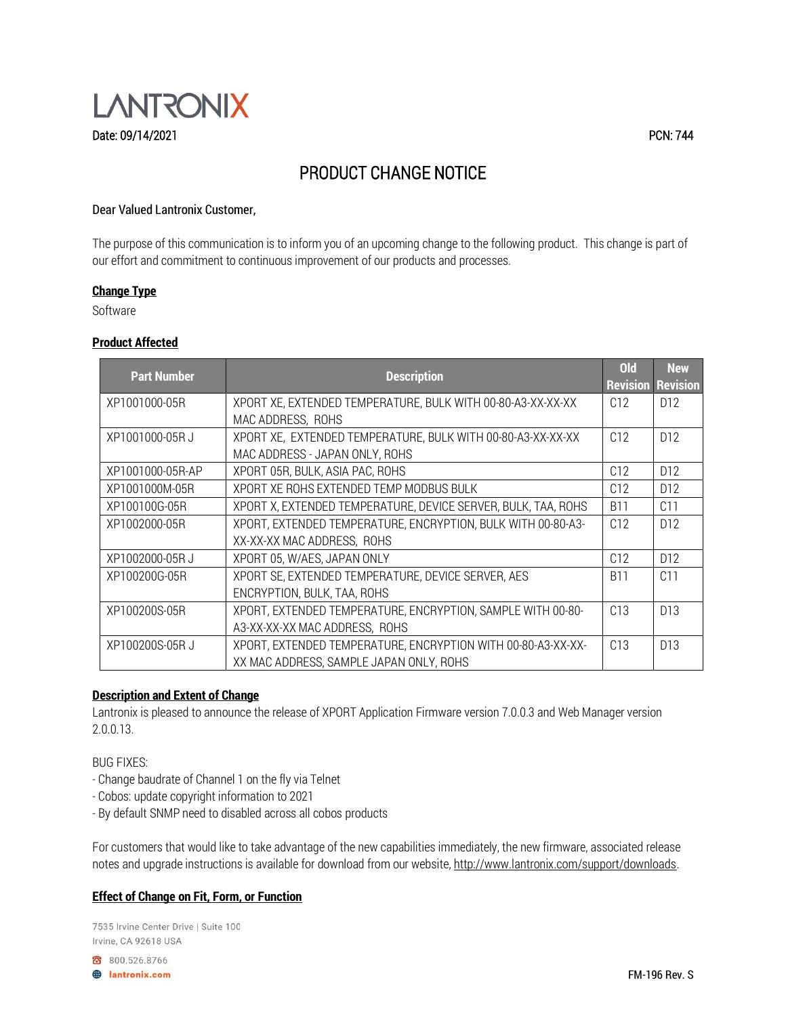

### Dear Valued Lantronix Customer,

The purpose of this communication is to inform you of an upcoming change to the following product. This change is part of our effort and commitment to continuous improvement of our products and processes.

## **Change Type**

Software

#### **Product Affected**

| <b>Part Number</b> | <b>Description</b>                                            | <b>Old</b> | <b>New</b>               |
|--------------------|---------------------------------------------------------------|------------|--------------------------|
|                    |                                                               |            | <b>Revision Revision</b> |
| XP1001000-05R      | XPORT XE, EXTENDED TEMPERATURE, BULK WITH 00-80-A3-XX-XX-XX   | C12        | D <sub>12</sub>          |
|                    | MAC ADDRESS, ROHS                                             |            |                          |
| XP1001000-05R J    | XPORT XE, EXTENDED TEMPERATURE, BULK WITH 00-80-A3-XX-XX-XX   | C12        | D <sub>12</sub>          |
|                    | MAC ADDRESS - JAPAN ONLY, ROHS                                |            |                          |
| XP1001000-05R-AP   | XPORT 05R, BULK, ASIA PAC, ROHS                               | C12        | D12                      |
| XP1001000M-05R     | XPORT XE ROHS EXTENDED TEMP MODBUS BULK                       | C12        | D <sub>12</sub>          |
| XP100100G-05R      | XPORT X, EXTENDED TEMPERATURE, DEVICE SERVER, BULK, TAA, ROHS | <b>B11</b> | C11                      |
| XP1002000-05R      | XPORT, EXTENDED TEMPERATURE, ENCRYPTION, BULK WITH 00-80-A3-  | C12        | D <sub>12</sub>          |
|                    | XX-XX-XX MAC ADDRESS, ROHS                                    |            |                          |
| XP1002000-05RJ     | XPORT 05, W/AES, JAPAN ONLY                                   | C12        | D <sub>12</sub>          |
| XP100200G-05R      | XPORT SE, EXTENDED TEMPERATURE, DEVICE SERVER, AES            | <b>B11</b> | C11                      |
|                    | ENCRYPTION, BULK, TAA, ROHS                                   |            |                          |
| XP100200S-05R      | XPORT, EXTENDED TEMPERATURE, ENCRYPTION, SAMPLE WITH 00-80-   | C13        | D <sub>13</sub>          |
|                    | A3-XX-XX-XX MAC ADDRESS, ROHS                                 |            |                          |
| XP100200S-05R J    | XPORT, EXTENDED TEMPERATURE, ENCRYPTION WITH 00-80-A3-XX-XX-  | C13        | D <sub>13</sub>          |
|                    | XX MAC ADDRESS, SAMPLE JAPAN ONLY, ROHS                       |            |                          |

### **Description and Extent of Change**

Lantronix is pleased to announce the release of XPORT Application Firmware version 7.0.0.3 and Web Manager version 2.0.0.13.

### BUG FIXES:

- Change baudrate of Channel 1 on the fly via Telnet
- Cobos: update copyright information to 2021
- By default SNMP need to disabled across all cobos products

For customers that would like to take advantage of the new capabilities immediately, the new firmware, associated release notes and upgrade instructions is available for download from our website, [http://www.lantronix.com/support/downloads.](http://www.lantronix.com/support/downloads)

## **Effect of Change on Fit, Form, or Function**

7535 Irvine Center Drive | Suite 100 Irvine, CA 92618 USA

800.526.8766 **B** lantronix.com